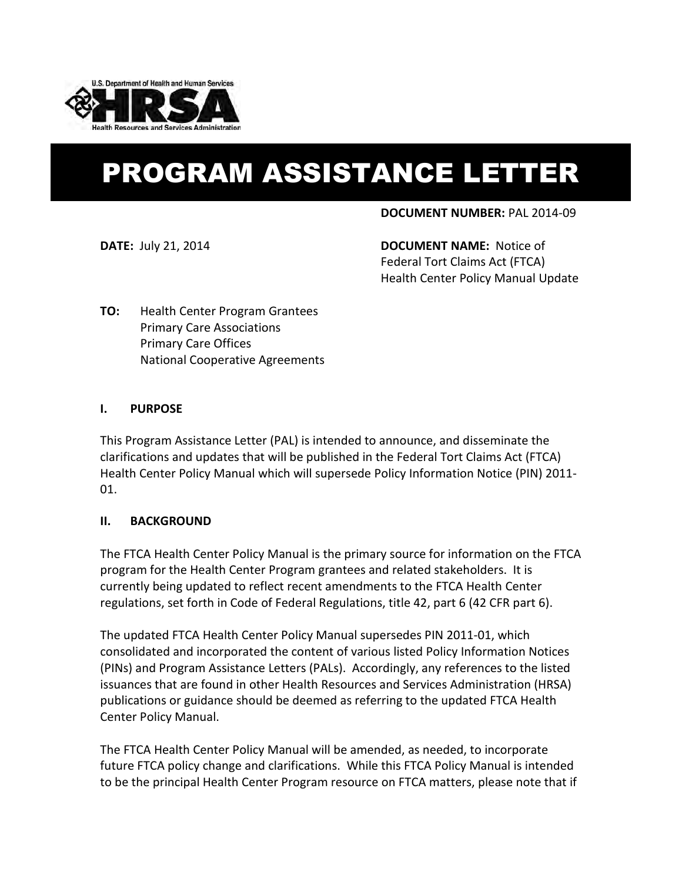

# PROGRAM ASSISTANCE LETTER

### **DOCUMENT NUMBER:** PAL 2014-09

**DATE:** July 21, 2014 **DOCUMENT NAME:** Notice of Federal Tort Claims Act (FTCA) Health Center Policy Manual Update

**TO:** Health Center Program Grantees Primary Care Associations Primary Care Offices National Cooperative Agreements

### **I. PURPOSE**

This Program Assistance Letter (PAL) is intended to announce, and disseminate the clarifications and updates that will be published in the Federal Tort Claims Act (FTCA) Health Center Policy Manual which will supersede Policy Information Notice (PIN) 2011- 01.

## **II. BACKGROUND**

The FTCA Health Center Policy Manual is the primary source for information on the FTCA program for the Health Center Program grantees and related stakeholders. It is currently being updated to reflect recent amendments to the FTCA Health Center regulations, set forth in Code of Federal Regulations, title 42, part 6 (42 CFR part 6).

The updated FTCA Health Center Policy Manual supersedes PIN 2011-01, which consolidated and incorporated the content of various listed Policy Information Notices (PINs) and Program Assistance Letters (PALs). Accordingly, any references to the listed issuances that are found in other Health Resources and Services Administration (HRSA) publications or guidance should be deemed as referring to the updated FTCA Health Center Policy Manual.

The FTCA Health Center Policy Manual will be amended, as needed, to incorporate future FTCA policy change and clarifications. While this FTCA Policy Manual is intended to be the principal Health Center Program resource on FTCA matters, please note that if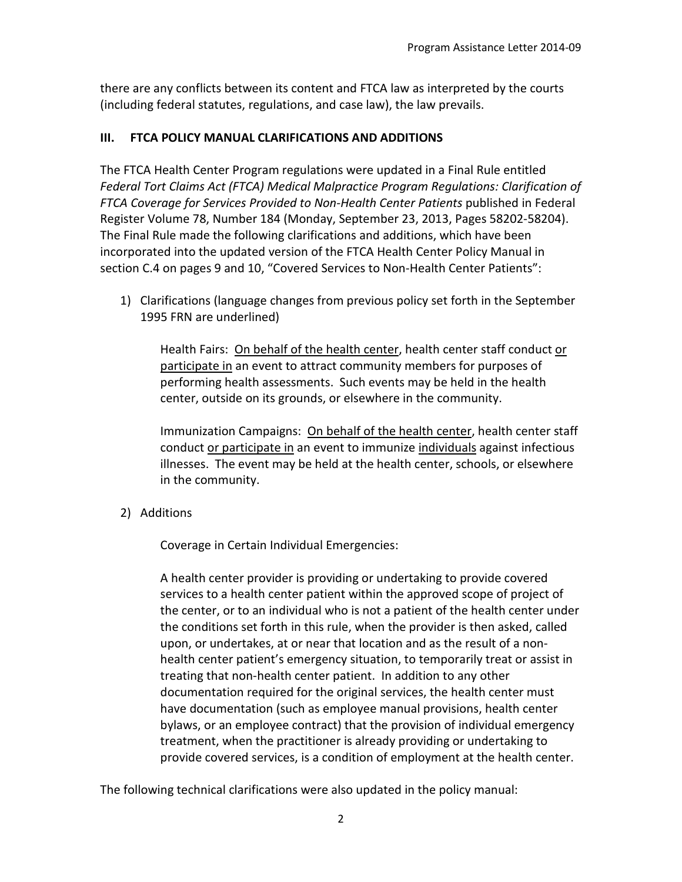there are any conflicts between its content and FTCA law as interpreted by the courts (including federal statutes, regulations, and case law), the law prevails.

# **III. FTCA POLICY MANUAL CLARIFICATIONS AND ADDITIONS**

The FTCA Health Center Program regulations were updated in a Final Rule entitled *Federal Tort Claims Act (FTCA) Medical Malpractice Program Regulations: Clarification of FTCA Coverage for Services Provided to Non-Health Center Patients* published in Federal Register Volume 78, Number 184 (Monday, September 23, 2013, Pages 58202-58204). The Final Rule made the following clarifications and additions, which have been incorporated into the updated version of the FTCA Health Center Policy Manual in section C.4 on pages 9 and 10, "Covered Services to Non-Health Center Patients":

1) Clarifications (language changes from previous policy set forth in the September 1995 FRN are underlined)

Health Fairs: On behalf of the health center, health center staff conduct or participate in an event to attract community members for purposes of performing health assessments. Such events may be held in the health center, outside on its grounds, or elsewhere in the community.

Immunization Campaigns: On behalf of the health center, health center staff conduct or participate in an event to immunize individuals against infectious illnesses. The event may be held at the health center, schools, or elsewhere in the community.

2) Additions

Coverage in Certain Individual Emergencies:

A health center provider is providing or undertaking to provide covered services to a health center patient within the approved scope of project of the center, or to an individual who is not a patient of the health center under the conditions set forth in this rule, when the provider is then asked, called upon, or undertakes, at or near that location and as the result of a nonhealth center patient's emergency situation, to temporarily treat or assist in treating that non-health center patient. In addition to any other documentation required for the original services, the health center must have documentation (such as employee manual provisions, health center bylaws, or an employee contract) that the provision of individual emergency treatment, when the practitioner is already providing or undertaking to provide covered services, is a condition of employment at the health center.

The following technical clarifications were also updated in the policy manual: